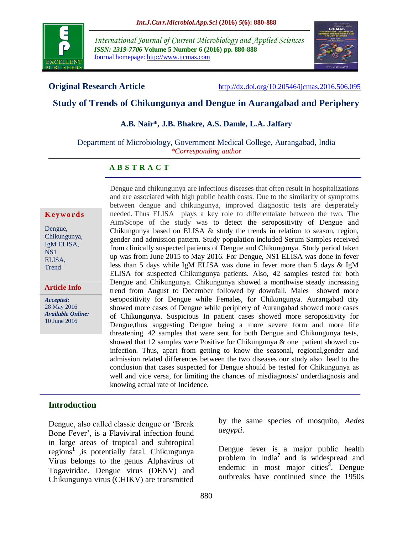

*International Journal of Current Microbiology and Applied Sciences ISSN: 2319-7706* **Volume 5 Number 6 (2016) pp. 880-888** Journal homepage: http://www.ijcmas.com



**Original Research Article** <http://dx.doi.org/10.20546/ijcmas.2016.506.095>

# **Study of Trends of Chikungunya and Dengue in Aurangabad and Periphery**

#### **A.B. Nair\*, J.B. Bhakre, A.S. Damle, L.A. Jaffary**

Department of Microbiology, Government Medical College, Aurangabad, India *\*Corresponding author*

#### **A B S T R A C T**

#### **K ey w o rd s**

Dengue, Chikungunya, IgM ELISA, NS1 ELISA, **Trend** 

**Article Info**

*Accepted:*  28 May 2016 *Available Online:* 10 June 2016

Dengue and chikungunya are infectious diseases that often result in hospitalizations and are associated with high public health costs. Due to the similarity of symptoms between dengue and chikungunya, improved diagnostic tests are desperately needed. Thus ELISA plays a key role to differentaiate between the two. The Aim/Scope of the study was to detect the seropositivity of Dengue and Chikungunya based on ELISA  $\&$  study the trends in relation to season, region, gender and admission pattern. Study population included Serum Samples received from clinically suspected patients of Dengue and Chikungunya. Study period taken up was from June 2015 to May 2016. For Dengue, NS1 ELISA was done in fever less than 5 days while IgM ELISA was done in fever more than 5 days & IgM ELISA for suspected Chikungunya patients. Also, 42 samples tested for both Dengue and Chikungunya. Chikungunya showed a monthwise steady increasing trend from August to December followed by downfall. Males showed more seropositivity for Dengue while Females, for Chikungunya. Aurangabad city showed more cases of Dengue while periphery of Aurangabad showed more cases of Chikungunya. Suspicious In patient cases showed more seropositivity for Dengue,thus suggesting Dengue being a more severe form and more life threatening. 42 samples that were sent for both Dengue and Chikungunya tests, showed that 12 samples were Positive for Chikungunya & one patient showed coinfection. Thus, apart from getting to know the seasonal, regional,gender and admission related differences between the two diseases our study also lead to the conclusion that cases suspected for Dengue should be tested for Chikungunya as well and vice versa, for limiting the chances of misdiagnosis/ underdiagnosis and knowing actual rate of Incidence.

### **Introduction**

Dengue, also called classic dengue or 'Break Bone Fever', is a Flaviviral infection found in large areas of tropical and subtropical regions**<sup>1</sup>** ,is potentially fatal. Chikungunya Virus belongs to the genus Alphavirus of Togaviridae. Dengue virus (DENV) and Chikungunya virus (CHIKV) are transmitted

by the same species of mosquito, *Aedes aegypti*.

Dengue fever is a major public health problem in India**<sup>7</sup>** and is widespread and endemic in most major cities<sup>3</sup>. Dengue outbreaks have continued since the 1950s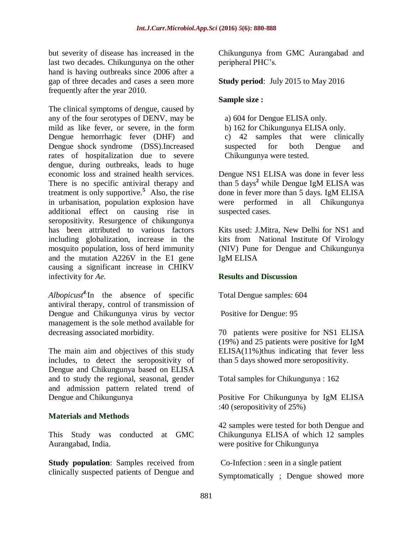but severity of disease has increased in the last two decades. Chikungunya on the other hand is having outbreaks since 2006 after a gap of three decades and cases a seen more frequently after the year 2010.

The clinical symptoms of dengue, caused by any of the four serotypes of DENV, may be mild as like fever, or severe, in the form Dengue hemorrhagic fever (DHF) and Dengue shock syndrome (DSS).Increased rates of hospitalization due to severe dengue, during outbreaks, leads to huge economic loss and strained health services. There is no specific antiviral therapy and treatment is only supportive.**<sup>5</sup>** Also, the rise in urbanisation, population explosion have additional effect on causing rise in seropositivity. Resurgence of chikungunya has been attributed to various factors including globalization, increase in the mosquito population, loss of herd immunity and the mutation A226V in the E1 gene causing a significant increase in CHIKV infectivity for *Ae.* 

*Albopicust<sup>4</sup>.* In the absence of specific antiviral therapy, control of transmission of Dengue and Chikungunya virus by vector management is the sole method available for decreasing associated morbidity.

The main aim and objectives of this study includes, to detect the seropositivity of Dengue and Chikungunya based on ELISA and to study the regional, seasonal, gender and admission pattern related trend of Dengue and Chikungunya

### **Materials and Methods**

This Study was conducted at GMC Aurangabad, India.

**Study population**: Samples received from clinically suspected patients of Dengue and

Chikungunya from GMC Aurangabad and peripheral PHC's.

#### **Study period**: July 2015 to May 2016

#### **Sample size :**

- a) 604 for Dengue ELISA only.
- b) 162 for Chikungunya ELISA only.

c) 42 samples that were clinically suspected for both Dengue and Chikungunya were tested.

Dengue NS1 ELISA was done in fever less than 5 days**<sup>2</sup>** while Dengue IgM ELISA was done in fever more than 5 days. IgM ELISA were performed in all Chikungunya suspected cases.

Kits used: J.Mitra, New Delhi for NS1 and kits from National Institute Of Virology (NIV) Pune for Dengue and Chikungunya IgM ELISA

### **Results and Discussion**

Total Dengue samples: 604

Positive for Dengue: 95

70 patients were positive for NS1 ELISA (19%) and 25 patients were positive for IgM  $ELISA(11\%)$ thus indicating that fever less than 5 days showed more seropositivity.

Total samples for Chikungunya : 162

Positive For Chikungunya by IgM ELISA :40 (seropositivity of 25%)

42 samples were tested for both Dengue and Chikungunya ELISA of which 12 samples were positive for Chikungunya

Co-Infection : seen in a single patient Symptomatically ; Dengue showed more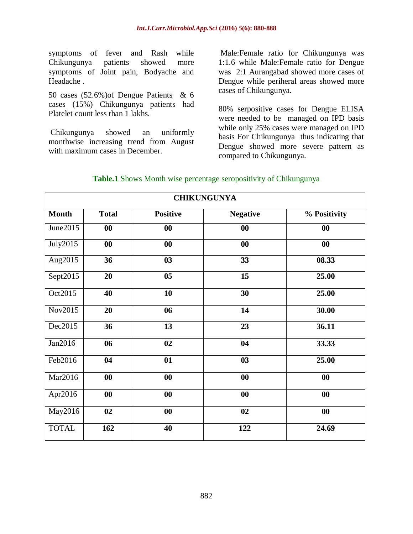symptoms of fever and Rash while Chikungunya patients showed more symptoms of Joint pain, Bodyache and Headache .

50 cases (52.6%)of Dengue Patients & 6 cases (15%) Chikungunya patients had Platelet count less than 1 lakhs.

Chikungunya showed an uniformly monthwise increasing trend from August with maximum cases in December.

Male:Female ratio for Chikungunya was 1:1.6 while Male:Female ratio for Dengue was 2:1 Aurangabad showed more cases of Dengue while periheral areas showed more cases of Chikungunya.

80% serpositive cases for Dengue ELISA were needed to be managed on IPD basis while only 25% cases were managed on IPD basis For Chikungunya thus indicating that Dengue showed more severe pattern as compared to Chikungunya.

| <b>Table.1</b> Shows Month wise percentage seropositivity of Chikungunya |  |  |
|--------------------------------------------------------------------------|--|--|
|                                                                          |  |  |

| <b>CHIKUNGUNYA</b> |                   |                   |                   |              |  |
|--------------------|-------------------|-------------------|-------------------|--------------|--|
| <b>Month</b>       | <b>Total</b>      | <b>Positive</b>   | <b>Negative</b>   | % Positivity |  |
| June $2015$        | 00                | $\boldsymbol{00}$ | $\bf{00}$         | 00           |  |
| July2015           | $\boldsymbol{00}$ | $\boldsymbol{00}$ | $\boldsymbol{00}$ | 00           |  |
| Aug2015            | 36                | 03                | 33                | 08.33        |  |
| Sept $2015$        | 20                | 0 <sub>5</sub>    | 15                | 25.00        |  |
| Oct2015            | 40                | 10                | 30                | 25.00        |  |
| Nov2015            | 20                | 06                | 14                | 30.00        |  |
| Dec2015            | 36                | 13                | 23                | 36.11        |  |
| Jan2016            | 06                | 02                | 04                | 33.33        |  |
| Feb2016            | 04                | 01                | 03                | 25.00        |  |
| Mar2016            | 00                | $\bf{00}$         | 00                | 00           |  |
| Apr2016            | 00                | $\bf{00}$         | $\boldsymbol{00}$ | 00           |  |
| May2016            | 02                | $\boldsymbol{00}$ | 02                | $\bf{00}$    |  |
| <b>TOTAL</b>       | 162               | 40                | 122               | 24.69        |  |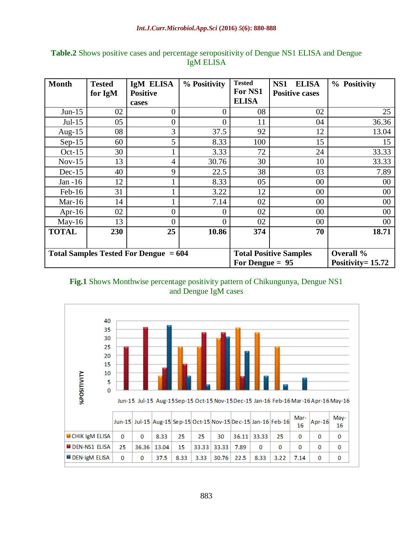| <b>Month</b>                            | <b>Tested</b> | IgM ELISA                | % Positivity      | <b>Tested</b><br>For NS1      | <b>ELISA</b><br>NS1               | % Positivity |
|-----------------------------------------|---------------|--------------------------|-------------------|-------------------------------|-----------------------------------|--------------|
|                                         | for IgM       | <b>Positive</b><br>cases |                   | <b>ELISA</b>                  | <b>Positive cases</b>             |              |
| $Jun-15$                                | 02            | $\overline{0}$           | 0                 | 08                            | 02                                | 25           |
| $Jul-15$                                | 05            | 0                        | $\overline{0}$    | 11                            | 04                                | 36.36        |
| Aug- $15$                               | 08            | 3                        | 37.5              | 92                            | 12                                | 13.04        |
| $Sep-15$                                | 60            | 5                        | 8.33              | 100                           | 15                                | 15           |
| $Oct-15$                                | 30            |                          | 3.33              | 72                            | 24                                | 33.33        |
| $Nov-15$                                | 13            | 4                        | 30.76             | 30                            | 10                                | 33.33        |
| $Dec-15$                                | 40            | 9                        | 22.5              | 38                            | 03                                | 7.89         |
| Jan -16                                 | 12            |                          | 8.33              | 05                            | 00                                | 00           |
| $Feb-16$                                | 31            |                          | 3.22              | 12                            | 00                                | 00           |
| Mar-16                                  | 14            |                          | 7.14              | 02                            | 00                                | 00           |
| Apr-16                                  | 02            | $\overline{0}$           | 0                 | 02                            | 00                                | 00           |
| $May-16$                                | 13            | $\Omega$                 | $\overline{0}$    | 02                            | 00                                | 00           |
| <b>TOTAL</b>                            | 230           | 25                       | 10.86             | 374                           | 70                                | 18.71        |
| Total Samples Tested For Dengue $= 604$ |               |                          | For Dengue $= 95$ | <b>Total Positive Samples</b> | Overall %<br>Positivity = $15.72$ |              |

## **Table.2** Shows positive cases and percentage seropositivity of Dengue NS1 ELISA and Dengue IgM ELISA



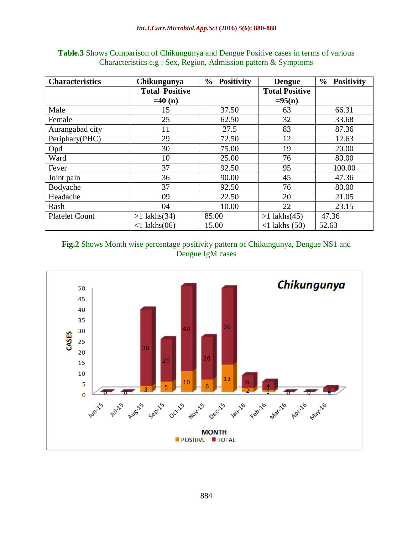| <b>Characteristics</b> | Chikungunya           | $\frac{6}{9}$<br><b>Positivity</b> | <b>Dengue</b>         | $\frac{6}{9}$<br><b>Positivity</b> |
|------------------------|-----------------------|------------------------------------|-----------------------|------------------------------------|
|                        | <b>Total Positive</b> |                                    | <b>Total Positive</b> |                                    |
|                        | $=40(n)$              |                                    | $= 95(n)$             |                                    |
| Male                   | 15                    | 37.50                              | 63                    | 66.31                              |
| Female                 | 25                    | 62.50                              | 32                    | 33.68                              |
| Aurangabad city        | 11                    | 27.5                               | 83                    | 87.36                              |
| Periphary(PHC)         | 29                    | 72.50                              | 12                    | 12.63                              |
| Opd                    | 30                    | 75.00                              | 19                    | 20.00                              |
| Ward                   | 10                    | 25.00                              | 76                    | 80.00                              |
| Fever                  | 37                    | 92.50                              | 95                    | 100.00                             |
| Joint pain             | 36                    | 90.00                              | 45                    | 47.36                              |
| Bodyache               | 37                    | 92.50                              | 76                    | 80.00                              |
| Headache               | 09                    | 22.50                              | 20                    | 21.05                              |
| Rash                   | 04                    | 10.00                              | 22                    | 23.15                              |
| <b>Platelet Count</b>  | $>1$ lakhs $(34)$     | 85.00                              | $>1$ lakhs(45)        | 47.36                              |
|                        | $<1$ lakhs $(06)$     | 15.00                              | $<$ 1 lakhs $(50)$    | 52.63                              |

**Table.3** Shows Comparison of Chikungunya and Dengue Positive cases in terms of various Characteristics e.g : Sex, Region, Admission pattern & Symptoms

**Fig.2** Shows Month wise percentage positivity pattern of Chikungunya, Dengue NS1 and Dengue IgM cases

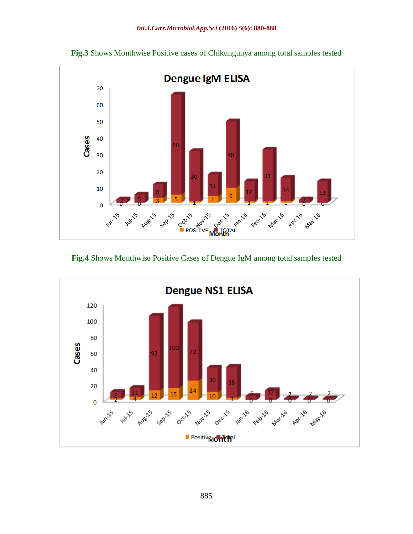

**Fig.3** Shows Monthwise Positive cases of Chikungunya among total samples tested

# **Fig.4** Shows Monthwise Positive Cases of Dengue IgM among total samples tested

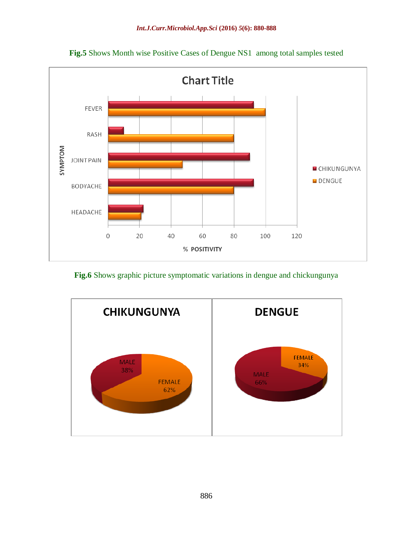

**Fig.5** Shows Month wise Positive Cases of Dengue NS1 among total samples tested

**Fig.6** Shows graphic picture symptomatic variations in dengue and chickungunya

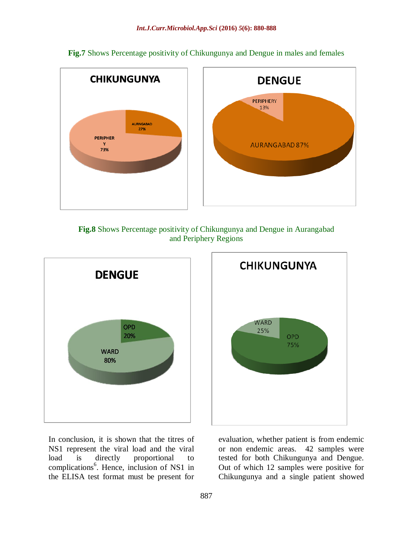

**Fig.7** Shows Percentage positivity of Chikungunya and Dengue in males and females





In conclusion, it is shown that the titres of NS1 represent the viral load and the viral load is directly proportional to complications<sup>6</sup>. Hence, inclusion of NS1 in the ELISA test format must be present for



evaluation, whether patient is from endemic or non endemic areas. 42 samples were tested for both Chikungunya and Dengue. Out of which 12 samples were positive for Chikungunya and a single patient showed